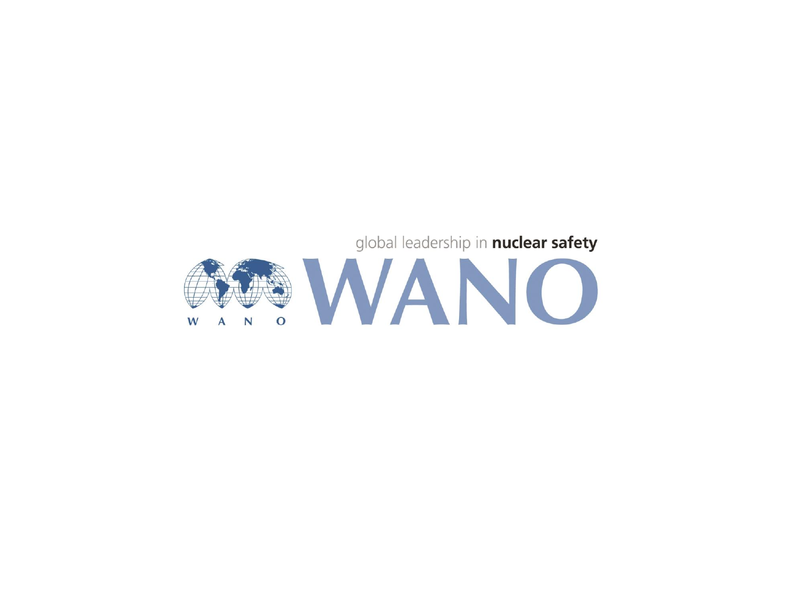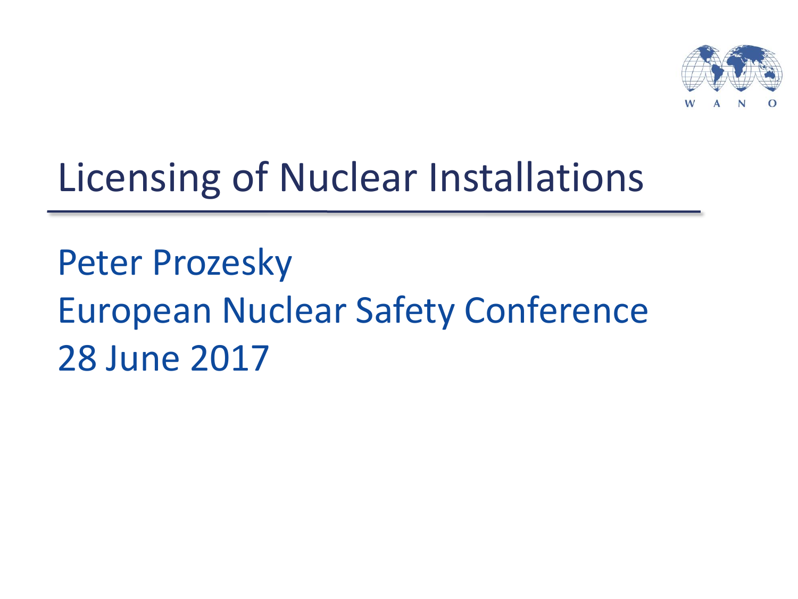

## Licensing of Nuclear Installations

Peter Prozesky European Nuclear Safety Conference 28 June 2017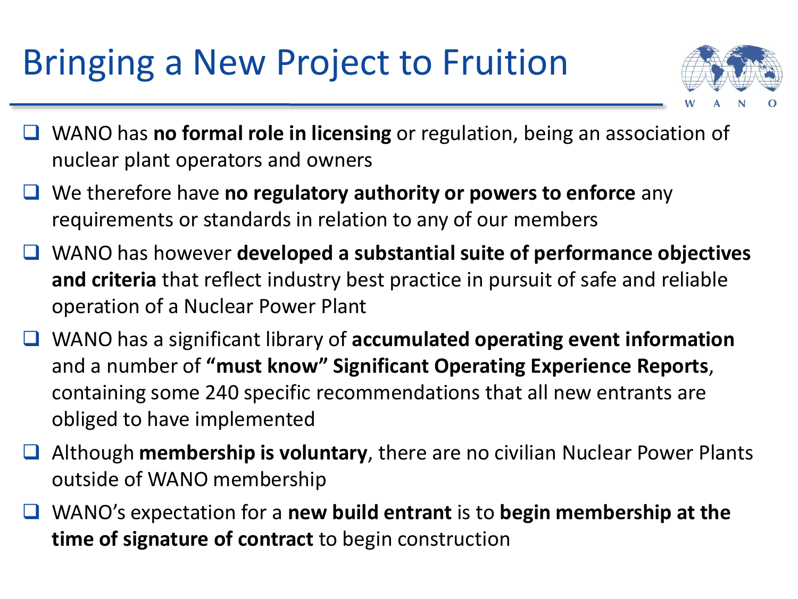## Bringing a New Project to Fruition



- WANO has **no formal role in licensing** or regulation, being an association of nuclear plant operators and owners
- We therefore have **no regulatory authority or powers to enforce** any requirements or standards in relation to any of our members
- WANO has however **developed a substantial suite of performance objectives and criteria** that reflect industry best practice in pursuit of safe and reliable operation of a Nuclear Power Plant
- WANO has a significant library of **accumulated operating event information**  and a number of **"must know" Significant Operating Experience Reports**, containing some 240 specific recommendations that all new entrants are obliged to have implemented
- Although **membership is voluntary**, there are no civilian Nuclear Power Plants outside of WANO membership
- WANO's expectation for a **new build entrant** is to **begin membership at the time of signature of contract** to begin construction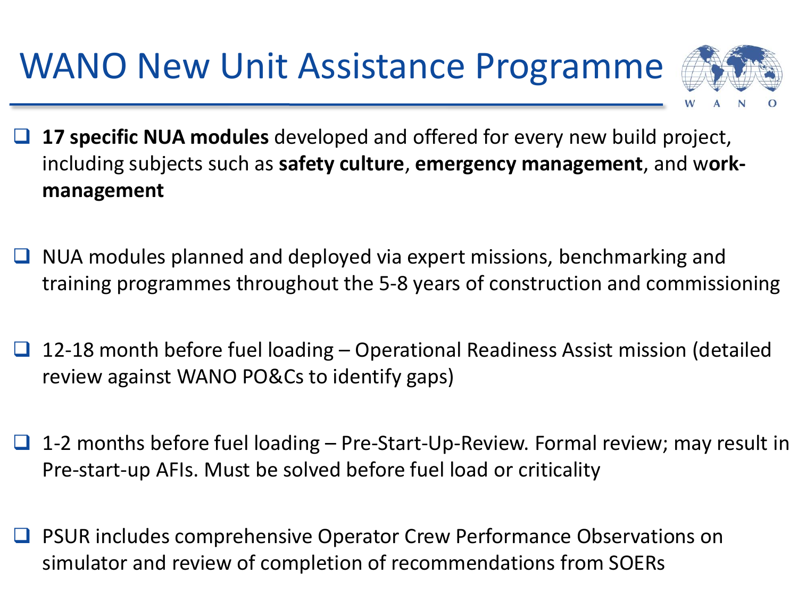WANO New Unit Assistance Programme



- **17 specific NUA modules** developed and offered for every new build project, including subjects such as **safety culture**, **emergency management**, and w**orkmanagement**
- NUA modules planned and deployed via expert missions, benchmarking and training programmes throughout the 5-8 years of construction and commissioning
- 12-18 month before fuel loading Operational Readiness Assist mission (detailed review against WANO PO&Cs to identify gaps)
- $\Box$  1-2 months before fuel loading Pre-Start-Up-Review. Formal review; may result in Pre-start-up AFIs. Must be solved before fuel load or criticality
- PSUR includes comprehensive Operator Crew Performance Observations on simulator and review of completion of recommendations from SOERs